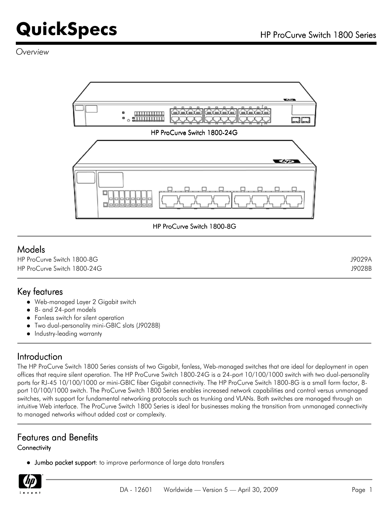*Overview*



HP ProCurve Switch 1800-8G

### Models

| HP ProCurve Switch 1800-8G  | J9029A |
|-----------------------------|--------|
| HP ProCurve Switch 1800-24G | J9028B |

### Key features

- Web-managed Layer 2 Gigabit switch
- 8- and 24-port models
- Fanless switch for silent operation
- Two dual-personality mini-GBIC slots (J9028B)
- Industry-leading warranty

### Introduction

The HP ProCurve Switch 1800 Series consists of two Gigabit, fanless, Web-managed switches that are ideal for deployment in open offices that require silent operation. The HP ProCurve Switch 1800-24G is a 24-port 10/100/1000 switch with two dual-personality ports for RJ-45 10/100/1000 or mini-GBIC fiber Gigabit connectivity. The HP ProCurve Switch 1800-8G is a small form factor, 8port 10/100/1000 switch. The ProCurve Switch 1800 Series enables increased network capabilities and control versus unmanaged switches, with support for fundamental networking protocols such as trunking and VLANs. Both switches are managed through an intuitive Web interface. The ProCurve Switch 1800 Series is ideal for businesses making the transition from unmanaged connectivity to managed networks without added cost or complexity.

### Features and Benefits

#### **Connectivity**

Jumbo packet support: to improve performance of large data transfers

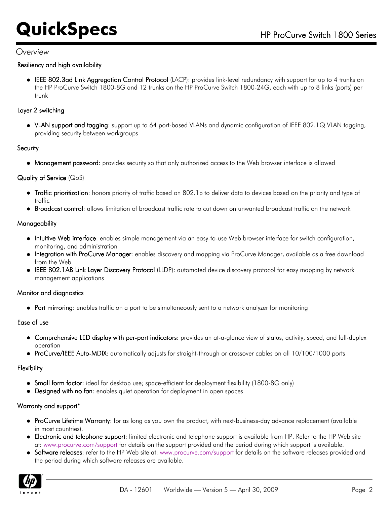#### *Overview*

#### Resiliency and high availability

IEEE 802.3ad Link Aggregation Control Protocol (LACP): provides link-level redundancy with support for up to 4 trunks on the HP ProCurve Switch 1800-8G and 12 trunks on the HP ProCurve Switch 1800-24G, each with up to 8 links (ports) per trunk

#### Layer 2 switching

VLAN support and tagging: support up to 64 port-based VLANs and dynamic configuration of IEEE 802.1Q VLAN tagging, providing security between workgroups

#### **Security**

Management password: provides security so that only authorized access to the Web browser interface is allowed

#### Quality of Service (QoS)

- Traffic prioritization: honors priority of traffic based on 802.1p to deliver data to devices based on the priority and type of traffic
- Broadcast control: allows limitation of broadcast traffic rate to cut down on unwanted broadcast traffic on the network

#### **Manageability**

- Intuitive Web interface: enables simple management via an easy-to-use Web browser interface for switch configuration, monitoring, and administration
- Integration with ProCurve Manager: enables discovery and mapping via ProCurve Manager, available as a free download from the Web
- IEEE 802.1AB Link Layer Discovery Protocol (LLDP): automated device discovery protocol for easy mapping by network management applications

#### Monitor and diagnostics

• Port mirroring: enables traffic on a port to be simultaneously sent to a network analyzer for monitoring

#### Ease of use

- Comprehensive LED display with per-port indicators: provides an at-a-glance view of status, activity, speed, and full-duplex operation
- ProCurve/IEEE Auto-MDIX: automatically adjusts for straight-through or crossover cables on all 10/100/1000 ports

#### **Flexibility**

- Small form factor: ideal for desktop use; space-efficient for deployment flexibility (1800-8G only)
- Designed with no fan: enables quiet operation for deployment in open spaces

#### Warranty and support\*

- ProCurve Lifetime Warranty: for as long as you own the product, with next-business-day advance replacement (available in most countries).
- Electronic and telephone support: limited electronic and telephone support is available from HP. Refer to the HP Web site at: [www.procurve.com/support](http://www.procurve.com/support) for details on the support provided and the period during which support is available.
- Software releases: refer to the HP Web site at: [www.procurve.com/support](http://www.procurve.com/support) for details on the software releases provided and the period during which software releases are available.

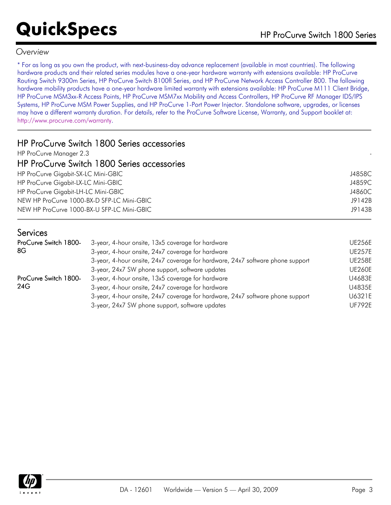### *Overview*

\* For as long as you own the product, with next-business-day advance replacement (available in most countries). The following hardware products and their related series modules have a one-year hardware warranty with extensions available: HP ProCurve Routing Switch 9300m Series, HP ProCurve Switch 8100fl Series, and HP ProCurve Network Access Controller 800. The following hardware mobility products have a one-year hardware limited warranty with extensions available: HP ProCurve M111 Client Bridge, HP ProCurve MSM3xx-R Access Points, HP ProCurve MSM7xx Mobility and Access Controllers, HP ProCurve RF Manager IDS/IPS Systems, HP ProCurve MSM Power Supplies, and HP ProCurve 1-Port Power Injector. Standalone software, upgrades, or licenses may have a different warranty duration. For details, refer to the ProCurve Software License, Warranty, and Support booklet at: [http://www.procurve.com/warranty.](http://www.procurve.com/warranty)

| HP ProCurve Switch 1800 Series accessories |        |
|--------------------------------------------|--------|
| HP ProCurve Manager 2.3                    |        |
| HP ProCurve Switch 1800 Series accessories |        |
| HP ProCurve Gigabit-SX-LC Mini-GBIC        | J4858C |
| HP ProCurve Gigabit-LX-LC Mini-GBIC        | J4859C |
| HP ProCurve Gigabit-LH-LC Mini-GBIC        | J4860C |
| NEW HP ProCurve 1000-BX-D SFP-LC Mini-GBIC | J9142B |
| NEW HP ProCurve 1000-BX-U SFP-LC Mini-GBIC | J9143B |
| <b>Services</b>                            |        |

| ProCurve Switch 1800- | 3-year, 4-hour onsite, 13x5 coverage for hardware                              | <b>UE256E</b> |
|-----------------------|--------------------------------------------------------------------------------|---------------|
| 8G                    | 3-year, 4-hour onsite, 24x7 coverage for hardware                              | <b>UE257E</b> |
|                       | 3-year, 4-hour onsite, 24x7 coverage for hardware, 24x7 software phone support | <b>UE258E</b> |
|                       | 3-year, 24x7 SW phone support, software updates                                | <b>UE260E</b> |
| ProCurve Switch 1800- | 3-year, 4-hour onsite, 13x5 coverage for hardware                              | U4683E        |
| 24G                   | 3-year, 4-hour onsite, 24x7 coverage for hardware                              | U4835E        |
|                       | 3-year, 4-hour onsite, 24x7 coverage for hardware, 24x7 software phone support | U6321E        |
|                       | 3-year, 24x7 SW phone support, software updates                                | <b>UF792E</b> |

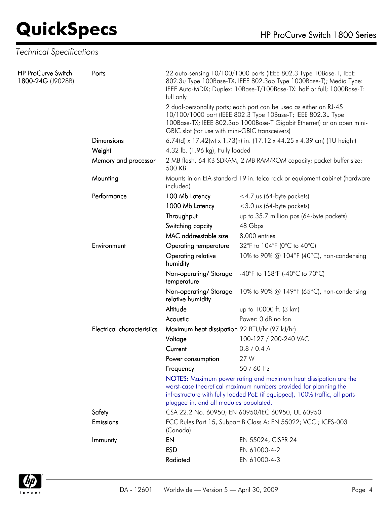## *Technical Specifications*

| <b>HP ProCurve Switch</b><br>1800-24G (J9028B) | Ports                             | 22 auto-sensing 10/100/1000 ports (IEEE 802.3 Type 10Base-T, IEEE<br>802.3u Type 100Base-TX, IEEE 802.3ab Type 1000Base-T); Media Type:<br>IEEE Auto-MDIX; Duplex: 10Base-T/100Base-TX: half or full; 1000Base-T:<br>full only                                  |                                           |  |
|------------------------------------------------|-----------------------------------|-----------------------------------------------------------------------------------------------------------------------------------------------------------------------------------------------------------------------------------------------------------------|-------------------------------------------|--|
|                                                |                                   | 2 dual-personality ports; each port can be used as either an RJ-45<br>10/100/1000 port (IEEE 802.3 Type 10Base-T; IEEE 802.3u Type<br>100Base-TX; IEEE 802.3ab 1000Base-T Gigabit Ethernet) or an open mini-<br>GBIC slot (for use with mini-GBIC transceivers) |                                           |  |
|                                                | <b>Dimensions</b>                 | 6.74(d) x 17.42(w) x 1.73(h) in. (17.12 x 44.25 x 4.39 cm) (1U height)                                                                                                                                                                                          |                                           |  |
|                                                | Weight                            | 4.32 lb. (1.96 kg), Fully loaded                                                                                                                                                                                                                                |                                           |  |
|                                                | Memory and processor              | 2 MB flash, 64 KB SDRAM, 2 MB RAM/ROM capacity; packet buffer size:<br>500 KB                                                                                                                                                                                   |                                           |  |
|                                                | Mounting                          | Mounts in an EIA-standard 19 in. telco rack or equipment cabinet (hardware<br>included)                                                                                                                                                                         |                                           |  |
|                                                | Performance                       | 100 Mb Latency                                                                                                                                                                                                                                                  | $<$ 4.7 $\mu$ s (64-byte packets)         |  |
|                                                |                                   | 1000 Mb Latency                                                                                                                                                                                                                                                 | $<$ 3.0 $\mu$ s (64-byte packets)         |  |
|                                                |                                   | Throughput                                                                                                                                                                                                                                                      | up to 35.7 million pps (64-byte packets)  |  |
|                                                |                                   | Switching capcity                                                                                                                                                                                                                                               | 48 Gbps                                   |  |
|                                                |                                   | MAC addresstable size                                                                                                                                                                                                                                           | 8,000 entries                             |  |
|                                                | Environment                       | Operating temperature                                                                                                                                                                                                                                           | 32°F to 104°F (0°C to 40°C)               |  |
|                                                |                                   | Operating relative<br>humidity                                                                                                                                                                                                                                  | 10% to 90% @ 104°F (40°C), non-condensing |  |
|                                                |                                   | Non-operating/Storage<br>temperature                                                                                                                                                                                                                            | -40°F to 158°F (-40°C to 70°C)            |  |
|                                                |                                   | Non-operating/Storage<br>relative humidity                                                                                                                                                                                                                      | 10% to 90% @ 149°F (65°C), non-condensing |  |
|                                                |                                   | Altitude                                                                                                                                                                                                                                                        | up to 10000 ft. (3 km)                    |  |
|                                                |                                   | Acoustic                                                                                                                                                                                                                                                        | Power: 0 dB no fan                        |  |
|                                                | <b>Electrical characteristics</b> | Maximum heat dissipation 92 BTU/hr (97 kJ/hr)                                                                                                                                                                                                                   |                                           |  |
|                                                |                                   | Voltage                                                                                                                                                                                                                                                         | 100-127 / 200-240 VAC                     |  |
|                                                |                                   | Current                                                                                                                                                                                                                                                         | 0.8 / 0.4 A                               |  |
|                                                |                                   | Power consumption                                                                                                                                                                                                                                               | 27 W                                      |  |
|                                                |                                   | Frequency                                                                                                                                                                                                                                                       | 50 / 60 Hz                                |  |
|                                                |                                   | NOTES: Maximum power rating and maximum heat dissipation are the<br>worst-case theoretical maximum numbers provided for planning the<br>infrastructure with fully loaded PoE (if equipped), 100% traffic, all ports<br>plugged in, and all modules populated.   |                                           |  |
|                                                | Safety                            | CSA 22.2 No. 60950; EN 60950/IEC 60950; UL 60950                                                                                                                                                                                                                |                                           |  |
|                                                | Emissions                         | FCC Rules Part 15, Subpart B Class A; EN 55022; VCCI; ICES-003<br>(Canada)                                                                                                                                                                                      |                                           |  |
|                                                | Immunity                          | EN                                                                                                                                                                                                                                                              | EN 55024, CISPR 24                        |  |
|                                                |                                   | <b>ESD</b>                                                                                                                                                                                                                                                      | EN 61000-4-2                              |  |
|                                                |                                   | Radiated                                                                                                                                                                                                                                                        | EN 61000-4-3                              |  |

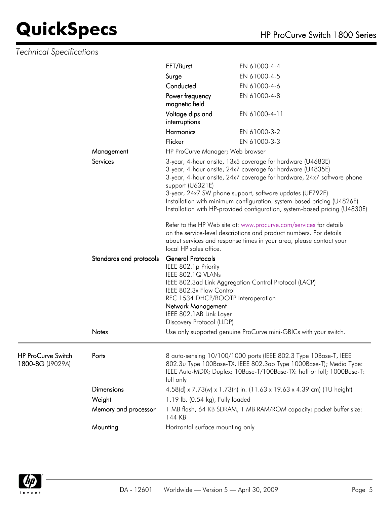## *Technical Specifications*

|                                        |                                   | EFT/Burst                                                                                                                                                                                                             | EN 61000-4-4                                                                                                                                                                                                                                                                                                                                                                                                                                                                                 |
|----------------------------------------|-----------------------------------|-----------------------------------------------------------------------------------------------------------------------------------------------------------------------------------------------------------------------|----------------------------------------------------------------------------------------------------------------------------------------------------------------------------------------------------------------------------------------------------------------------------------------------------------------------------------------------------------------------------------------------------------------------------------------------------------------------------------------------|
|                                        |                                   | Surge                                                                                                                                                                                                                 | EN 61000-4-5                                                                                                                                                                                                                                                                                                                                                                                                                                                                                 |
|                                        |                                   | Conducted                                                                                                                                                                                                             | EN 61000-4-6                                                                                                                                                                                                                                                                                                                                                                                                                                                                                 |
|                                        | Power frequency<br>magnetic field | EN 61000-4-8                                                                                                                                                                                                          |                                                                                                                                                                                                                                                                                                                                                                                                                                                                                              |
|                                        |                                   | Voltage dips and<br>interruptions                                                                                                                                                                                     | EN 61000-4-11                                                                                                                                                                                                                                                                                                                                                                                                                                                                                |
|                                        |                                   | <b>Harmonics</b>                                                                                                                                                                                                      | EN 61000-3-2                                                                                                                                                                                                                                                                                                                                                                                                                                                                                 |
|                                        |                                   | Flicker                                                                                                                                                                                                               | EN 61000-3-3                                                                                                                                                                                                                                                                                                                                                                                                                                                                                 |
|                                        | Management                        | HP ProCurve Manager; Web browser                                                                                                                                                                                      |                                                                                                                                                                                                                                                                                                                                                                                                                                                                                              |
|                                        | Services                          | support (U6321E)                                                                                                                                                                                                      | 3-year, 4-hour onsite, 13x5 coverage for hardware (U4683E)<br>3-year, 4-hour onsite, 24x7 coverage for hardware (U4835E)<br>3-year, 4-hour onsite, 24x7 coverage for hardware, 24x7 software phone<br>3-year, 24x7 SW phone support, software updates (UF792E)<br>Installation with minimum configuration, system-based pricing (U4826E)<br>Installation with HP-provided configuration, system-based pricing (U4830E)<br>Refer to the HP Web site at: www.procurve.com/services for details |
|                                        | local HP sales office.            | on the service-level descriptions and product numbers. For details<br>about services and response times in your area, please contact your                                                                             |                                                                                                                                                                                                                                                                                                                                                                                                                                                                                              |
|                                        | Standards and protocols           | <b>General Protocols</b><br>IEEE 802.1p Priority<br>IEEE 802.1Q VLANs<br>IEEE 802.3x Flow Control<br>RFC 1534 DHCP/BOOTP Interoperation<br>Network Management<br>IEEE 802.1AB Link Layer<br>Discovery Protocol (LLDP) | IEEE 802.3ad Link Aggregation Control Protocol (LACP)                                                                                                                                                                                                                                                                                                                                                                                                                                        |
|                                        | <b>Notes</b>                      |                                                                                                                                                                                                                       | Use only supported genuine ProCurve mini-GBICs with your switch.                                                                                                                                                                                                                                                                                                                                                                                                                             |
| HP ProCurve Switch<br>1800-8G (J9029A) | Ports                             | full only                                                                                                                                                                                                             | 8 auto-sensing 10/100/1000 ports (IEEE 802.3 Type 10Base-T, IEEE<br>802.3u Type 100Base-TX, IEEE 802.3ab Type 1000Base-T); Media Type:<br>IEEE Auto-MDIX; Duplex: 10Base-T/100Base-TX: half or full; 1000Base-T:                                                                                                                                                                                                                                                                             |
|                                        | <b>Dimensions</b>                 |                                                                                                                                                                                                                       | 4.58(d) x 7.73(w) x 1.73(h) in. (11.63 x 19.63 x 4.39 cm) (1U height)                                                                                                                                                                                                                                                                                                                                                                                                                        |
|                                        | Weight                            | 1.19 lb. (0.54 kg), Fully loaded                                                                                                                                                                                      |                                                                                                                                                                                                                                                                                                                                                                                                                                                                                              |
|                                        | Memory and processor              | 144 KB                                                                                                                                                                                                                | 1 MB flash, 64 KB SDRAM, 1 MB RAM/ROM capacity; packet buffer size:                                                                                                                                                                                                                                                                                                                                                                                                                          |
|                                        | Mounting                          | Horizontal surface mounting only                                                                                                                                                                                      |                                                                                                                                                                                                                                                                                                                                                                                                                                                                                              |

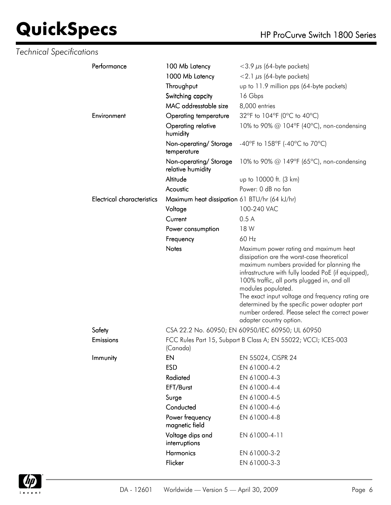| <b>Technical Specifications</b> |                                   |                                               |                                                                                                                                                                                                                                                                                                                                                                                                                                                 |
|---------------------------------|-----------------------------------|-----------------------------------------------|-------------------------------------------------------------------------------------------------------------------------------------------------------------------------------------------------------------------------------------------------------------------------------------------------------------------------------------------------------------------------------------------------------------------------------------------------|
|                                 | Performance                       | 100 Mb Latency                                | $<$ 3.9 $\mu$ s (64-byte packets)                                                                                                                                                                                                                                                                                                                                                                                                               |
|                                 |                                   | 1000 Mb Latency                               | $<$ 2.1 $\mu$ s (64-byte packets)                                                                                                                                                                                                                                                                                                                                                                                                               |
|                                 |                                   | Throughput                                    | up to 11.9 million pps (64-byte packets)                                                                                                                                                                                                                                                                                                                                                                                                        |
|                                 |                                   | Switching capcity                             | 16 Gbps                                                                                                                                                                                                                                                                                                                                                                                                                                         |
|                                 |                                   | MAC addresstable size                         | 8,000 entries                                                                                                                                                                                                                                                                                                                                                                                                                                   |
|                                 | Environment                       | <b>Operating temperature</b>                  | 32°F to 104°F (0°C to 40°C)                                                                                                                                                                                                                                                                                                                                                                                                                     |
|                                 |                                   | Operating relative<br>humidity                | 10% to 90% @ 104°F (40°C), non-condensing                                                                                                                                                                                                                                                                                                                                                                                                       |
|                                 |                                   | Non-operating/Storage<br>temperature          | -40°F to 158°F (-40°C to 70°C)                                                                                                                                                                                                                                                                                                                                                                                                                  |
|                                 |                                   | Non-operating/Storage<br>relative humidity    | 10% to 90% @ 149°F (65°C), non-condensing                                                                                                                                                                                                                                                                                                                                                                                                       |
|                                 |                                   | Altitude                                      | up to 10000 ft. (3 km)                                                                                                                                                                                                                                                                                                                                                                                                                          |
|                                 |                                   | Acoustic                                      | Power: 0 dB no fan                                                                                                                                                                                                                                                                                                                                                                                                                              |
|                                 | <b>Electrical characteristics</b> | Maximum heat dissipation 61 BTU/hr (64 kJ/hr) |                                                                                                                                                                                                                                                                                                                                                                                                                                                 |
|                                 |                                   | Voltage                                       | 100-240 VAC                                                                                                                                                                                                                                                                                                                                                                                                                                     |
|                                 |                                   | Current                                       | 0.5A                                                                                                                                                                                                                                                                                                                                                                                                                                            |
|                                 |                                   | Power consumption                             | 18 W                                                                                                                                                                                                                                                                                                                                                                                                                                            |
|                                 |                                   | Frequency                                     | 60 Hz                                                                                                                                                                                                                                                                                                                                                                                                                                           |
|                                 |                                   | <b>Notes</b>                                  | Maximum power rating and maximum heat<br>dissipation are the worst-case theoretical<br>maximum numbers provided for planning the<br>infrastructure with fully loaded PoE (if equipped),<br>100% traffic, all ports plugged in, and all<br>modules populated.<br>The exact input voltage and frequency rating are<br>determined by the specific power adapter part<br>number ordered. Please select the correct power<br>adapter country option. |
|                                 | Safety                            |                                               | CSA 22.2 No. 60950; EN 60950/IEC 60950; UL 60950                                                                                                                                                                                                                                                                                                                                                                                                |
|                                 | <b>Emissions</b>                  | (Canada)                                      | FCC Rules Part 15, Subpart B Class A; EN 55022; VCCI; ICES-003                                                                                                                                                                                                                                                                                                                                                                                  |
|                                 | Immunity                          | EN                                            | EN 55024, CISPR 24                                                                                                                                                                                                                                                                                                                                                                                                                              |
|                                 |                                   | <b>ESD</b>                                    | EN 61000-4-2                                                                                                                                                                                                                                                                                                                                                                                                                                    |
|                                 |                                   | Radiated                                      | EN 61000-4-3                                                                                                                                                                                                                                                                                                                                                                                                                                    |
|                                 |                                   | EFT/Burst                                     | EN 61000-4-4                                                                                                                                                                                                                                                                                                                                                                                                                                    |
|                                 |                                   | Surge                                         | EN 61000-4-5                                                                                                                                                                                                                                                                                                                                                                                                                                    |
|                                 |                                   | Conducted                                     | EN 61000-4-6                                                                                                                                                                                                                                                                                                                                                                                                                                    |
|                                 |                                   | Power frequency<br>magnetic field             | EN 61000-4-8                                                                                                                                                                                                                                                                                                                                                                                                                                    |
|                                 |                                   | Voltage dips and<br>interruptions             | EN 61000-4-11                                                                                                                                                                                                                                                                                                                                                                                                                                   |
|                                 |                                   | Harmonics                                     | EN 61000-3-2                                                                                                                                                                                                                                                                                                                                                                                                                                    |
|                                 |                                   | Flicker                                       | EN 61000-3-3                                                                                                                                                                                                                                                                                                                                                                                                                                    |